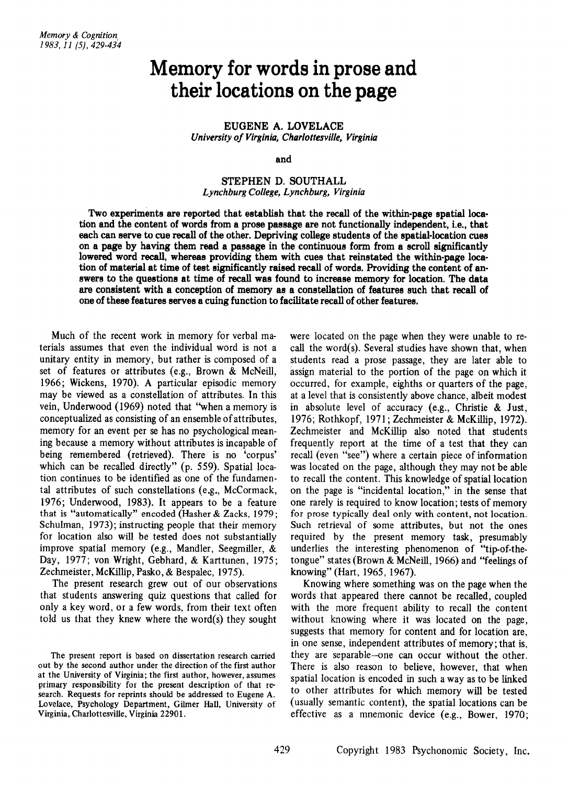# **Memory for words inprose and their locations onthe page**

EUGENE A. LOVELACE *University ofVirginia, Charlottesville, Virginia*

and

# STEPHEN D. SOUTHALL *LynchburgCollege, Lynchburg, Virginia*

Two experiments are reported that establish that the recall of the within-page spatial location and the content of words from a prose passage are not functionally independent, i.e., that each can serve to cue recall of the other. Depriving college students of the spatial-location cues on a page by having them read a passage in the continuous form from a scroll significantly lowered word recall, whereas providing them with cues that reinstated the within-page location of material at time of test significantly raised recall of words. Providing the content of answers to the questions at time of recall was found to increase memory for location. The data are consistent with a conception of memory as a constellation of features such that recall of one ofthese features serves a cuing function to facilitate recall of other features.

Much of the recent work in memory for verbal materials assumes that even the individual word is not a unitary entity in memory, but rather is composed of a set of features or attributes (e.g., Brown & McNeill, 1966; Wickens, 1970). A particular episodic memory may be viewed as a constellation of attributes. In this vein, Underwood (1969) noted that "when a memory is conceptualized as consisting of an ensemble of attributes, memory for an event per se has no psychological meaning because a memory without attributes is incapable of being remembered (retrieved). There is no 'corpus' which can be recalled directly" (p. 559). Spatial location continues to be identified as one of the fundamental attributes of such constellations (e.g., McCormack, 1976; Underwood, 1983). It appears to be a feature that is "automatically" encoded (Hasher & Zacks, 1979; Schulman, 1973); instructing people that their memory for location also will be tested does not substantially improve spatial memory (e.g., Mandler, Seegmiller, & Day, 1977; von Wright, Gebhard, & Karttunen, 1975; Zechmeister, McKillip, Pasko, & Bespalec, 1975).

The present research grew out of our observations that students answering quiz questions that called for only a key word, or a few words, from their text often told us that they knew where the word(s) they sought

were located on the page when they were unable to recall the word(s). Several studies have shown that, when students read a prose passage, they are later able to assign material to the portion of the page on which it occurred, for example, eighths or quarters of the page, at a level that is consistently above chance, albeit modest in absolute level of accuracy (e.g., Christie & Just, 1976; Rothkopf, 1971; Zechmeister & McKillip, 1972). Zechmeister and McKillip also noted that students frequently report at the time of a test that they can recall (even "see") where a certain piece of information was located on the page, although they may not be able to recall the content. This knowledge of spatial location on the page is "incidental location," in the sense that one rarely is required to know location; tests of memory for prose typically deal only with content, not location. Such retrieval of some attributes, but not the ones required by the present memory task, presumably underlies the interesting phenomenon of "tip-of-thetongue" states (Brown & McNeill, 1966) and "feelings of knowing" (Hart, 1965, 1967).

Knowing where something was on the page when the words that appeared there cannot be recalled, coupled with the more frequent ability to recall the content without knowing where it was located on the page, suggests that memory for content and for location are, in one sense, independent attributes of memory; that is, they are separable-one can occur without the other. There is also reason to believe, however, that when spatial location is encoded in such a way as to be linked to other attributes for which memory will be tested (usually semantic content), the spatial locations can be effective as a mnemonic device (e.g., Bower, 1970;

The present report is based on dissertation research carried out by the second author under the direction of the first author at the University of Virginia; the first author, however, assumes primary responsibility for the present description of that research. Requests for reprints should be addressed to Eugene A. Lovelace, Psychology Department, Gilmer Hall, University of Virginia, Charlottesville, Virginia 22901.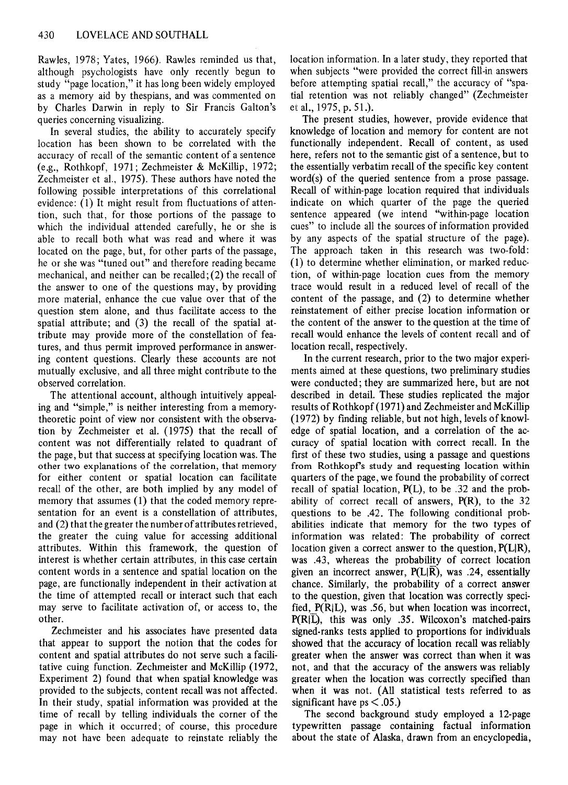Rawles, 1978; Yates, 1966). Rawles reminded us that, although psychologists have only recently begun to study "page location," it has long been widely employed as a memory aid by thespians, and was commented on by Charles Darwin in reply to Sir Francis Galton's queries concerning visualizing.

In several studies, the ability to accurately specify location has been shown to be correlated with the accuracy of recall of the semantic content of a sentence (e.g., Rothkopf, 1971; Zechmeister & McKillip, 1972; Zechmeister et aI., 1975). These authors have noted the following possible interpretations of this correlational evidence: (1) It might result from fluctuations of attention, such that, for those portions of the passage to which the individual attended carefully, he or she is able to recall both what was read and where it was located on the page, but, for other parts of the passage, he or she was "tuned out" and therefore reading became mechanical, and neither can be recalled; (2) the recall of the answer to one of the questions may, by providing more material, enhance the cue value over that of the question stem alone, and thus facilitate access to the spatial attribute; and (3) the recall of the spatial attribute may provide more of the constellation of features, and thus permit improved performance in answering content questions. Clearly these accounts are not mutually exclusive, and all three might contribute to the observed correlation.

The attentional account, although intuitively appealing and "simple," is neither interesting from a memorytheoretic point of view nor consistent with the observation by Zechmeister et al. (1975) that the recall of content was not differentially related to quadrant of the page, but that success at specifying location was. The other two explanations of the correlation, that memory for either content or spatial location can facilitate recall of the other, are both implied by any model of memory that assumes (1) that the coded memory representation for an event is a constellation of attributes, and (2) that the greater the number of attributes retrieved, the greater the cuing value for accessing additional attributes. Within this framework, the question of interest is whether certain attributes, in this case certain content words in a sentence and spatial location on the page, are functionally independent in their activation at the time of attempted recall or interact such that each may serve to facilitate activation of, or access to, the other.

Zechmeister and his associates have presented data that appear to support the notion that the codes for content and spatial attributes do not serve such a facilitative cuing function. Zechmeister and McKillip (1972, Experiment 2) found that when spatial knowledge was provided to the subjects, content recall was not affected. In their study, spatial information was provided at the time of recall by telling individuals the corner of the page in which it occurred; of course, this procedure may not have been adequate to reinstate reliably the location information. In a later study, they reported that when subjects "were provided the correct fill-in answers before attempting spatial recall," the accuracy of "spatial retention was not reliably changed" (Zechmeister et al., 1975, p. 51.).

The present studies, however, provide evidence that knowledge of location and memory for content are not functionally independent. Recall of content, as used here, refers not to the semantic gist of a sentence, but to the essentially verbatim recall of the specific key content word(s) of the queried sentence from a prose passage. Recall of within-page location required that individuals indicate on which quarter of the page the queried sentence appeared (we intend "within-page location cues" to include all the sources of information provided by any aspects of the spatial structure of the page). The approach taken in this research was two-fold: (1) to determine whether elimination, or marked reduction, of within-page location cues from the memory trace would result in a reduced level of recall of the content of the passage, and (2) to determine whether reinstatement of either precise location information or the content of the answer to the question at the time of recall would enhance the levels of content recall and of location recall, respectively.

In the current research, prior to the two major experiments aimed at these questions, two preliminary studies were conducted; they are summarized here, but are not described in detail. These studies replicated the major results of Rothkopf(1971) and Zechmeister and McKillip  $(1972)$  by finding reliable, but not high, levels of knowledge of spatial location, and a correlation of the accuracy of spatial location with correct recall. In the first of these two studies, using a passage and questions from Rothkopf's study and requesting location within quarters of the page, we found the probability of correct recall of spatial location,  $P(L)$ , to be .32 and the probability of correct recall of answers,  $P(R)$ , to the 32 questions to be .42. The following conditional probabilities indicate that memory for the two types of information was related: The probability of correct location given a correct answer to the question,  $P(L|R)$ , was .43, whereas the probability of correct location given an incorrect answer,  $P(L|\overline{R})$ , was .24, essentially chance. Similarly, the probability of a correct answer to the question, given that location was correctly specified,  $P(R|L)$ , was .56, but when location was incorrect,  $P(R|\tilde{L})$ , this was only .35. Wilcoxon's matched-pairs signed-ranks tests applied to proportions for individuals showed that the accuracy of location recall was reliably greater when the answer was correct than when it was not, and that the accuracy of the answers was reliably greater when the location was correctly specified than when it was not. (All statistical tests referred to as significant have  $ps < .05$ .)

The second background study employed a 12-page typewritten passage containing factual information about the state of Alaska, drawn from an encyclopedia,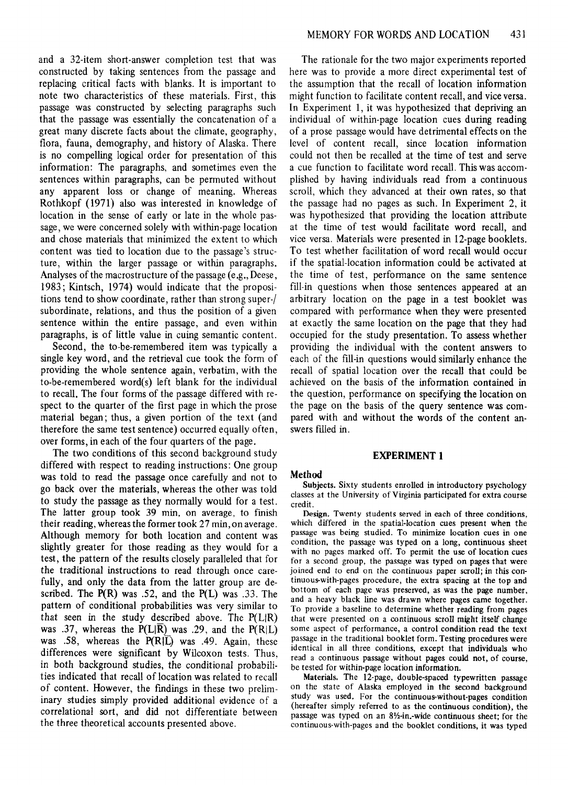and a 32-item short-answer completion test that was constructed by taking sentences from the passage and replacing critical facts with blanks. It is important to note two characteristics of these materials. First, this passage was constructed by selecting paragraphs such that the passage was essentially the concatenation of a great many discrete facts about the climate, geography, fiora, fauna, demography, and history of Alaska. There is no compelling logical order for presentation of this information: The paragraphs, and sometimes even the sentences within paragraphs, can be permuted without any apparent loss or change of meaning. Whereas Rothkopf (1971) also was interested in knowledge of location in the sense of early or late in the whole passage, we were concerned solely with within-page location and chose materials that minimized the extent to which content was tied to location due to the passage's structure, within the larger passage or within paragraphs. Analyses of the macrostructure of the passage(e.g.,Deese, 1983; Kintsch, 1974) would indicate that the propositions tend to show coordinate, rather than strong super-/ subordinate, relations, and thus the position of a given sentence within the entire passage, and even within paragraphs, is of little value in cuing semantic content.

Second, the to-be-remembered item was typically a single key word, and the retrieval cue took the form of providing the whole sentence again, verbatim, with the to-be-remembered word(s) left blank for the individual to recall. The four forms of the passage differed with respect to the quarter of the first page in which the prose material began; thus, a given portion of the text (and therefore the same test sentence) occurred equally often, over forms, in each of the four quarters of the page.

The two conditions of this second background study differed with respect to reading instructions: One group was told to read the passage once carefully and not to go back over the materials, whereas the other was told to study the passage as they normally would for a test. The latter group took 39 min, on average, to finish their reading, whereas the former took 27 min, on average. Although memory for both location and content was slightly greater for those reading as they would for a test, the pattern of the results closely paralleled that for the traditional instructions to read through once carefully, and only the data from the latter group are described. The  $P(R)$  was .52, and the  $P(L)$  was .33. The pattern of conditional probabilities was very similar to that seen in the study described above. The P(LIR) was .37, whereas the  $P(L|R)$  was .29, and the  $P(R|L)$ was .58, whereas the P(RIL) was .49. Again, these differences were significant by Wilcoxon tests. Thus, in both background studies, the conditional probabilities indicated that recall of location was related to recall of content. However, the fmdings in these two preliminary studies simply provided additional evidence of a correlational sort, and did not differentiate between the three theoretical accounts presented above.

The rationale for the two major experiments reported here was to provide a more direct experimental test of the assumption that the recall of location information might function to facilitate content recall, and vice versa. In Experiment 1, it was hypothesized that depriving an individual of within-page location cues during reading of a prose passage would have detrimental effects on the level of content recall, since location information could not then be recalled at the time of test and serve a cue function to facilitate word recall. This was accomplished by having individuals read from a continuous scroll, which they advanced at their own rates, so that the passage had no pages as such. In Experiment 2, it was hypothesized that providing the location attribute at the time of test would facilitate word recall, and vice versa. Materials were presented in 12-page booklets. To test whether facilitation of word recall would occur if the spatial-location information could be activated at the time of test, performance on the same sentence fill-in questions when those sentences appeared at an arbitrary location on the page in a test booklet was compared with performance when they were presented at exactly the same location on the page that they had occupied for the study presentation. To assess whether providing the individual with the content answers to each of the fill-in questions would similarly enhance the recall of spatial location over the recall that could be achieved on the basis of the information contained in the question, performance on specifying the location on the page on the basis of the query sentence was compared with and without the words of the content answers fllled in.

## **EXPERIMENT 1**

#### **Method**

Subjects. Sixty students enrolled in introductory psychology classes at the University of Virginia participated for extra course credit.

Design. Twenty students served in each of three conditions, which differed in the spatial-location cues present when the passage was being studied. To minimize location cues in one condition, the passage was typed on a long, continuous sheet with no pages marked off. To permit the use of location cues for a second group, the passage was typed on pages that were joined end to end on the continuous paper scroll; in this continuous-with-pages procedure, the extra spacing at the top and bottom of each page was preserved, as was the page number, and a heavy black line was drawn where pages came together. To provide a baseline to determine whether reading from pages that were presented on a continuous scroll might itself change some aspect of performance, a control condition read the text passage in the traditional booklet form. Testing procedures were identical in all three conditions, except that individuals who read a continuous passage without pages could not, of course, be tested for within-page location information.

Materials. The 12-page, double-spaced typewritten passage on the state of Alaska employed in the second background study was used. For the continuous-without-pages condition (hereafter simply referred to as the continuous condition), the passage was typed on an 81/2-in.-wide continuous sheet; for the continuous-with-pages and the booklet conditions, it was typed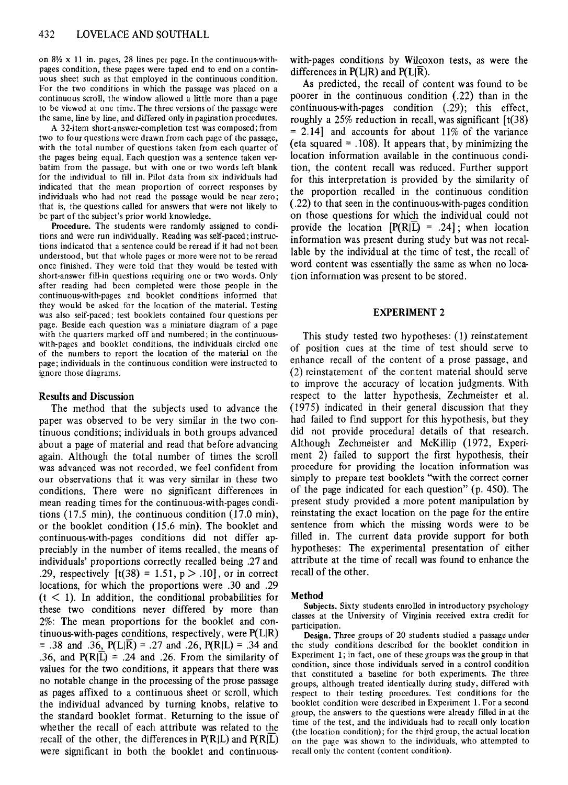on  $8\frac{1}{2}$  x 11 in. pages, 28 lines per page. In the continuous-withpages condition, these pages were taped end to end on a continuous sheet such as that employed in the continuous condition. For the two conditions in which the passage was placed on a continuous scroll, the window allowed a little more than a page to be viewed at one time. The three versions of the passage were the same, line by line, and differed only in pagination procedures.

A 32-item short-answer-eompletion test was composed; from two to four questions were drawn from each page of the passage, with the total number of questions taken from each quarter of the pages being equal. Each question was a sentence taken verbatim from the passage, but with one or two words left blank for the individual to fill in. Pilot data from six individuals had indicated that the mean proportion of correct responses by individuals who had not read the passage would be near zero; that is, the questions called for answers that were not likely to be part of the subject's prior world knowledge.

Procedure. The students were randomly assigned to conditions and were run individually. Reading was self-paced; instructions indicated that a sentence could be reread if it had not been understood, but that whole pages or more were not to be reread once finished. They were told that they would be tested with short-answer fiII-in questions requiring one or two words. Only after reading had been completed were those people in the continuous-with-pages and booklet conditions informed that they would be asked for the location of the material. Testing was also self-paced; test booklets contained four questions per page. Beside each question was a miniature diagram of a page with the quarters marked off and numbered; in the continuouswith-pages and booklet conditions, the individuals circled one of the numbers to report the location of the material on the page; individuals in the continuous condition were instructed to ignorc those diagrams.

# Results and Discussion

The method that the subjects used to advance the paper was observed to be very similar in the two continuous conditions; individuals in both groups advanced about a page of material and read that before advancing again. Although the total number of times the scroll was advanced was not recorded, we feel confident from our observations that it was very similar in these two conditions. There were no significant differences in mean reading times for the continuous-with-pages conditions (17.5 min), the continuous condition (17.0 min), or the booklet condition (15.6 min). The booklet and continuous-with-pages conditions did not differ appreciably in the number of items recalled, the means of individuals' proportions correctly recalled being .27 and .29, respectively  $\lceil t(38) = 1.51$ ,  $p > .10$ , or in correct locations, for which the proportions were .30 and .29  $(t < 1)$ . In addition, the conditional probabilities for these two conditions never differed by more than 2%: The mean proportions for the booklet and continuous-with-pages conditions, respectively, were  $P(L|R)$ = .38 and .36,  $P(L|R) = .27$  and .26,  $P(R|L) = .34$  and .36, and  $P(R|\overline{L}) = .24$  and .26. From the similarity of values for the two conditions, it appears that there was no notable change in the processing of the prose passage as pages affixed to a continuous sheet or scroll, which the individual advanced by turning knobs, relative to the standard booklet format. Returning to the issue of whether the recall of each attribute was related to the recall of the other, the differences in  $P(R|L)$  and  $P(R|L)$ were significant in both the booklet and continuouswith-pages conditions by Wilcoxon tests, as were the differences in  $P(L|R)$  and  $P(L|\overline{R})$ .

As predicted, the recall of content was found to be poorer in the continuous condition (.22) than in the continuous-with-pages condition (.29); this effect, roughly a  $25\%$  reduction in recall, was significant [t(38)  $= 2.14$ ] and accounts for about 11% of the variance (eta squared  $=$  .108). It appears that, by minimizing the location information available in the continuous condition, the content recall was reduced. Further support for this interpretation is provided by the similarity of the proportion recalled in the continuous condition (.22) to that seen in the continuous-with-pages condition on those questions for which the individual could not provide the location  $[ P(R|L) = .24 ]$ ; when location information was present during study but was not recallable by the individual at the time of test, the recall of word content was essentially the same as when no location information was present to be stored.

### EXPERIMENT 2

This study tested two hypotheses: (1) reinstatement of position cues at the time of test should serve to enhance recall of the content of a prose passage, and (2) reinstatement of the content material should serve to improve the accuracy of location judgments. With respect to the latter hypothesis, Zechmeister et al. (1975) indicated in their general discussion that they had failed to find support for this hypothesis, but they did not provide procedural details of that research. Although Zechmeister and McKillip (1972, Experiment 2) failed to support the first hypothesis, their procedure for providing the location information was simply to prepare test booklets "with the correct corner of the page indicated for each question" (p. 450). The present study provided a more potent manipulation by reinstating the exact location on the page for the entire sentence from which the missing words were to be filled in. The current data provide support for both hypotheses: The experimental presentation of either attribute at the time of recall was found to enhance the recall of the other.

#### Method

Subjects. Sixty students enrolled in introductory psychology classes at the University of Virginia received extra credit for participation.

Design. Three groups of 20 students studied a passage under the study conditions described for the booklet condition in Experiment 1; in fact, one of these groups was the group in that condition, since those individuals served in a control condition that constituted a baseline for both experiments. The three groups, although treated identically during study, differed with respect to their testing procedures. Test conditions for the booklet condition were described in Experiment 1. For a second group, the answers to the questions were already filled in at the time of the test, and the individuals had to recall only location (the location condition); for the third group, the actual location on the page was shown to the individuals, who attempted to recall only the content (content condition).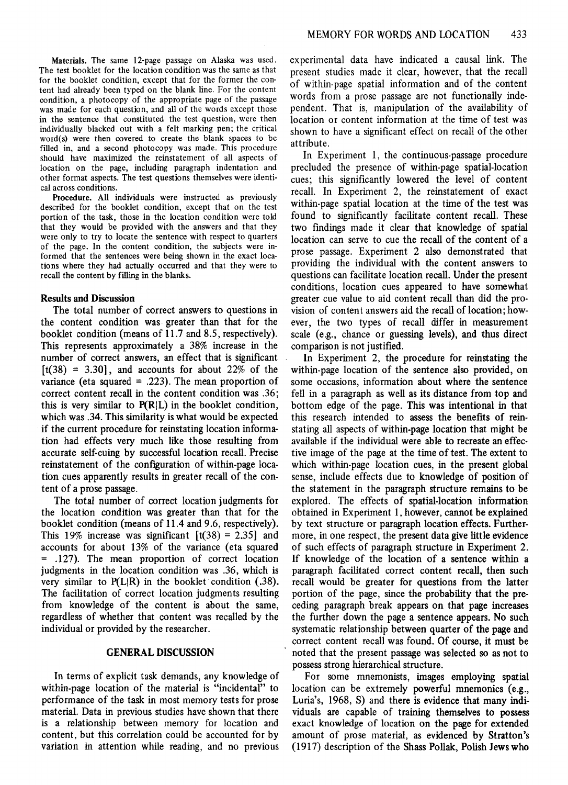Materials. The same 12-page passage on Alaska was used. The test booklet for the location condition was the same as that for the booklet condition, except that for the former the content had already been typed on the blank line. For the content condition, a photocopy of the appropriate page of the passage was made for each question, and all of the words except those in the sentence that constituted the test question, were then individually blacked out with a felt marking pen; the critical word(s) were then covered to create the blank spaces to be filled in, and a second photocopy was made. This procedure should have maximized the reinstatement of all aspects of location on the page, including paragraph indentation and other format aspects. The test questions themselves were identical across conditions.

Procedure. All individuals were instructed as previously described for the booklet condition, except that on the test portion of the task, those in the location condition were told that they would be provided with the answers and that they were only to try to locate the sentence with respect to quarters of the page. In the content condition, the subjects were informed that the sentences were being shown in the exact locations where they had actually occurred and that they were to recall the content by filling in the blanks.

## Results and Discussion

The total number of correct answers to questions in the content condition was· greater than that for the booklet condition (means of 11.7 and 8.5, respectively). This represents approximately a 38% increase in the number of correct answers, an effect that is significant  $[t(38) = 3.30]$ , and accounts for about 22% of the variance (eta squared  $=$  .223). The mean proportion of correct content recall in the content condition was .36; this is very similar to  $P(R|L)$  in the booklet condition, which was .34. This similarity is what would be expected if the current procedure for reinstating location information had effects very much like those resulting from accurate self-cuing by successful location recall. Precise reinstatement of the configuration of within-page location cues apparently results in greater recall of the content of a prose passage.

The total number of correct location judgments for the location condition was greater than that for the booklet condition (means of 11.4 and 9.6, respectively). This 19% increase was significant  $[t(38) = 2.35]$  and accounts for about 13% of the variance (eta squared = .127). The mean proportion of correct location judgments in the location condition was .36, which is very similar to  $P(L|R)$  in the booklet condition  $(.38)$ . The facilitation of correct location judgments resulting from knowledge of the content is about the same, regardless of whether that content was recalled by the individual or provided by the researcher.

## GENERAL DISCUSSION

In terms of explicit task demands, any knowledge of within-page location of the material is "incidental" to performance of the task in most memory tests for prose material. Data in previous studies have shown that there is a relationship between memory for location and content, but this correlation could be accounted for by variation in attention while reading, and no previous experimental data have indicated a causal link. The present studies made it clear, however, that the recall of within-page spatial information and of the content words from a prose passage are not functionally independent. That is, manipulation of the availability of location or content information at the time of test was shown to have a significant effect on recall of the other attribute.

In Experiment 1, the continuous-passage procedure precluded the presence of within-page spatial-location cues; this significantly lowered the level of content recall. In Experiment 2, the reinstatement of exact within-page spatial location at the time of the test was found to significantly facilitate content recall. These two findings made it clear that knowledge of spatial location can serve to cue the recall of the content of a prose passage. Experiment 2 also demonstrated that providing the individual with the content answers to questions can facilitate location recall. Under the present conditions, location cues appeared to have somewhat greater cue value to aid content recall than did the provision of content answers aid the recall of location; however, the two types of recall differ in measurement scale (e.g., chance or guessing levels), and thus direct comparison is not justified.

In Experiment 2, the procedure for reinstating the within-page location of the sentence also provided, on some occasions, information about where the sentence fell in a paragraph as well as its distance from top and bottom edge of the page. This was intentional in that this research intended to assess the benefits of reinstating all aspects of within-page location that might be available if the individual were able to recreate an effective image of the page at the time of test. The extent to which within-page location cues, in the present global sense, include effects due to knowledge of position of the statement in the paragraph structure remains to be explored. The effects of spatial-location information obtained in Experiment 1, however, cannot be explained by text structure or paragraph location effects. Furthermore, in one respect, the present data give little evidence of such effects of paragraph structure in Experiment 2. If knowledge of the location of a sentence within a paragraph facilitated correct content recall, then such recall would be greater for questions from the latter portion of the page, since the probability that the preceding paragraph break appears on that page increases the further down the page a sentence appears. No such systematic relationship between quarter of the page and correct content recall was found. Of course, it must be noted that the present passage was selected so as not to possessstrong hierarchical structure.

For some mnemonists, images employing spatial location can be extremely powerful mnemonics (e.g., Luria's, 1968, S) and there is evidence that many individuals are capable of training themselves to possess exact knowledge of location on the page for extended amount of prose material, as evidenced by Stratton's (1917) description of the Shass Pollak, Polish Jews who